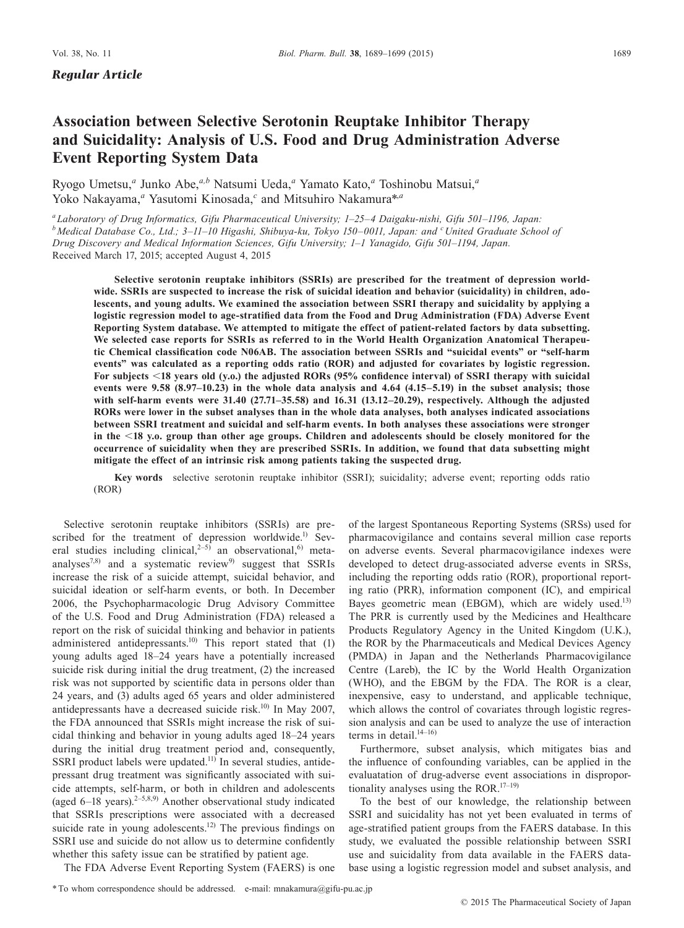# **Association between Selective Serotonin Reuptake Inhibitor Therapy and Suicidality: Analysis of U.S. Food and Drug Administration Adverse Event Reporting System Data**

Ryogo Umetsu,<sup>a</sup> Junko Abe,<sup>a,b</sup> Natsumi Ueda,<sup>a</sup> Yamato Kato,<sup>a</sup> Toshinobu Matsui,<sup>a</sup> Yoko Nakayama,<sup>*a*</sup> Yasutomi Kinosada,<sup>*c*</sup> and Mitsuhiro Nakamura<sup>\*,*a*</sup>

*aLaboratory of Drug Informatics, Gifu Pharmaceutical University; 1–25–4 Daigaku-nishi, Gifu 501–1196, Japan: b* Medical Database Co., Ltd.; 3–11–10 Higashi, Shibuya-ku, Tokyo 150–0011, Japan: and <sup>c</sup>United Graduate School of *Drug Discovery and Medical Information Sciences, Gifu University; 1–1 Yanagido, Gifu 501–1194, Japan.* Received March 17, 2015; accepted August 4, 2015

**Selective serotonin reuptake inhibitors (SSRIs) are prescribed for the treatment of depression worldwide. SSRIs are suspected to increase the risk of suicidal ideation and behavior (suicidality) in children, adolescents, and young adults. We examined the association between SSRI therapy and suicidality by applying a logistic regression model to age-stratified data from the Food and Drug Administration (FDA) Adverse Event Reporting System database. We attempted to mitigate the effect of patient-related factors by data subsetting. We selected case reports for SSRIs as referred to in the World Health Organization Anatomical Therapeutic Chemical classification code N06AB. The association between SSRIs and "suicidal events" or "self-harm events" was calculated as a reporting odds ratio (ROR) and adjusted for covariates by logistic regression. For subjects** <**18 years old (y.o.) the adjusted RORs (95% confidence interval) of SSRI therapy with suicidal events were 9.58 (8.97–10.23) in the whole data analysis and 4.64 (4.15–5.19) in the subset analysis; those with self-harm events were 31.40 (27.71–35.58) and 16.31 (13.12–20.29), respectively. Although the adjusted RORs were lower in the subset analyses than in the whole data analyses, both analyses indicated associations between SSRI treatment and suicidal and self-harm events. In both analyses these associations were stronger in the** <**18 y.o. group than other age groups. Children and adolescents should be closely monitored for the occurrence of suicidality when they are prescribed SSRIs. In addition, we found that data subsetting might mitigate the effect of an intrinsic risk among patients taking the suspected drug.**

**Key words** selective serotonin reuptake inhibitor (SSRI); suicidality; adverse event; reporting odds ratio (ROR)

Selective serotonin reuptake inhibitors (SSRIs) are prescribed for the treatment of depression worldwide.<sup>1)</sup> Several studies including clinical,<sup>2-5)</sup> an observational,<sup>6)</sup> metaanalyses<sup>7,8)</sup> and a systematic review<sup>9)</sup> suggest that SSRIs increase the risk of a suicide attempt, suicidal behavior, and suicidal ideation or self-harm events, or both. In December 2006, the Psychopharmacologic Drug Advisory Committee of the U.S. Food and Drug Administration (FDA) released a report on the risk of suicidal thinking and behavior in patients administered antidepressants.<sup>10)</sup> This report stated that (1) young adults aged 18–24 years have a potentially increased suicide risk during initial the drug treatment, (2) the increased risk was not supported by scientific data in persons older than 24 years, and (3) adults aged 65 years and older administered antidepressants have a decreased suicide risk.<sup>10)</sup> In May 2007, the FDA announced that SSRIs might increase the risk of suicidal thinking and behavior in young adults aged 18–24 years during the initial drug treatment period and, consequently, SSRI product labels were updated.<sup>11)</sup> In several studies, antidepressant drug treatment was significantly associated with suicide attempts, self-harm, or both in children and adolescents (aged  $6-18$  years).<sup>2–5,8,9)</sup> Another observational study indicated that SSRIs prescriptions were associated with a decreased suicide rate in young adolescents.<sup>12)</sup> The previous findings on SSRI use and suicide do not allow us to determine confidently whether this safety issue can be stratified by patient age.

of the largest Spontaneous Reporting Systems (SRSs) used for pharmacovigilance and contains several million case reports on adverse events. Several pharmacovigilance indexes were developed to detect drug-associated adverse events in SRSs, including the reporting odds ratio (ROR), proportional reporting ratio (PRR), information component (IC), and empirical Bayes geometric mean (EBGM), which are widely used.<sup>13)</sup> The PRR is currently used by the Medicines and Healthcare Products Regulatory Agency in the United Kingdom (U.K.), the ROR by the Pharmaceuticals and Medical Devices Agency (PMDA) in Japan and the Netherlands Pharmacovigilance Centre (Lareb), the IC by the World Health Organization (WHO), and the EBGM by the FDA. The ROR is a clear, inexpensive, easy to understand, and applicable technique, which allows the control of covariates through logistic regression analysis and can be used to analyze the use of interaction terms in detail. $14-16$ )

Furthermore, subset analysis, which mitigates bias and the influence of confounding variables, can be applied in the evaluatation of drug-adverse event associations in disproportionality analyses using the ROR. $17-19$ )

To the best of our knowledge, the relationship between SSRI and suicidality has not yet been evaluated in terms of age-stratified patient groups from the FAERS database. In this study, we evaluated the possible relationship between SSRI use and suicidality from data available in the FAERS database using a logistic regression model and subset analysis, and

The FDA Adverse Event Reporting System (FAERS) is one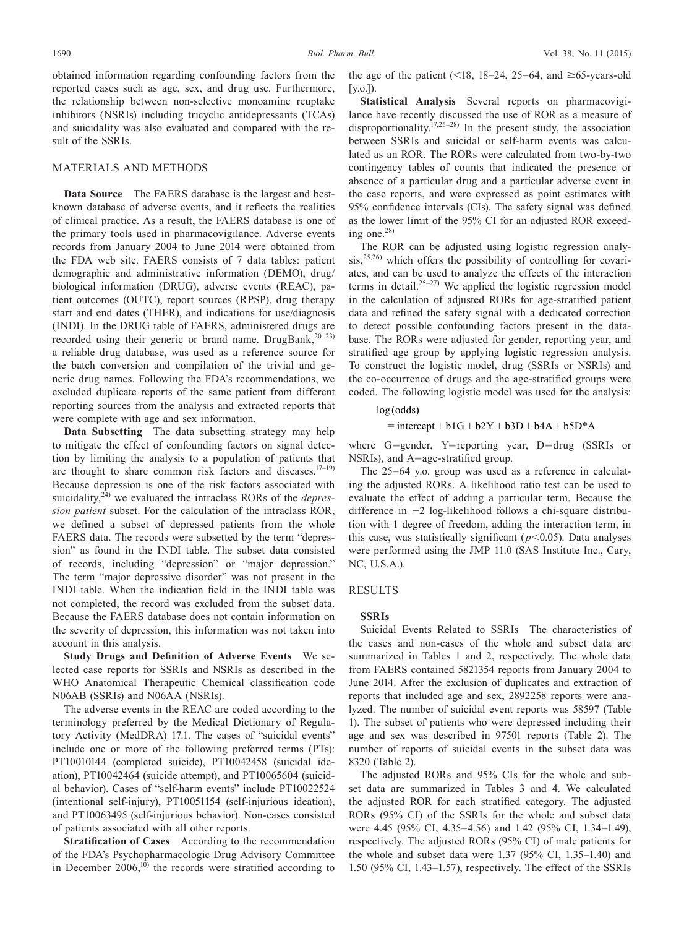obtained information regarding confounding factors from the reported cases such as age, sex, and drug use. Furthermore, the relationship between non-selective monoamine reuptake inhibitors (NSRIs) including tricyclic antidepressants (TCAs) and suicidality was also evaluated and compared with the result of the SSRIs.

# MATERIALS AND METHODS

**Data Source** The FAERS database is the largest and bestknown database of adverse events, and it reflects the realities of clinical practice. As a result, the FAERS database is one of the primary tools used in pharmacovigilance. Adverse events records from January 2004 to June 2014 were obtained from the FDA web site. FAERS consists of 7 data tables: patient demographic and administrative information (DEMO), drug/ biological information (DRUG), adverse events (REAC), patient outcomes (OUTC), report sources (RPSP), drug therapy start and end dates (THER), and indications for use/diagnosis (INDI). In the DRUG table of FAERS, administered drugs are recorded using their generic or brand name. DrugBank,<sup>20-23)</sup> a reliable drug database, was used as a reference source for the batch conversion and compilation of the trivial and generic drug names. Following the FDA's recommendations, we excluded duplicate reports of the same patient from different reporting sources from the analysis and extracted reports that were complete with age and sex information.

**Data Subsetting** The data subsetting strategy may help to mitigate the effect of confounding factors on signal detection by limiting the analysis to a population of patients that are thought to share common risk factors and diseases.<sup>17-19)</sup> Because depression is one of the risk factors associated with suicidality,<sup>24)</sup> we evaluated the intraclass RORs of the *depression patient* subset. For the calculation of the intraclass ROR, we defined a subset of depressed patients from the whole FAERS data. The records were subsetted by the term "depression" as found in the INDI table. The subset data consisted of records, including "depression" or "major depression." The term "major depressive disorder" was not present in the INDI table. When the indication field in the INDI table was not completed, the record was excluded from the subset data. Because the FAERS database does not contain information on the severity of depression, this information was not taken into account in this analysis.

**Study Drugs and Definition of Adverse Events** We selected case reports for SSRIs and NSRIs as described in the WHO Anatomical Therapeutic Chemical classification code N06AB (SSRIs) and N06AA (NSRIs).

The adverse events in the REAC are coded according to the terminology preferred by the Medical Dictionary of Regulatory Activity (MedDRA) 17.1. The cases of "suicidal events" include one or more of the following preferred terms (PTs): PT10010144 (completed suicide), PT10042458 (suicidal ideation), PT10042464 (suicide attempt), and PT10065604 (suicidal behavior). Cases of "self-harm events" include PT10022524 (intentional self-injury), PT10051154 (self-injurious ideation), and PT10063495 (self-injurious behavior). Non-cases consisted of patients associated with all other reports.

**Stratification of Cases** According to the recommendation of the FDA's Psychopharmacologic Drug Advisory Committee in December  $2006$ ,<sup>10)</sup> the records were stratified according to the age of the patient (<18, 18–24, 25–64, and  $\geq 65$ -years-old  $[v.o.]$ 

**Statistical Analysis** Several reports on pharmacovigilance have recently discussed the use of ROR as a measure of disproportionality.<sup> $17,25-28$ </sup> In the present study, the association between SSRIs and suicidal or self-harm events was calculated as an ROR. The RORs were calculated from two-by-two contingency tables of counts that indicated the presence or absence of a particular drug and a particular adverse event in the case reports, and were expressed as point estimates with 95% confidence intervals (CIs). The safety signal was defined as the lower limit of the 95% CI for an adjusted ROR exceeding one.<sup>28)</sup>

The ROR can be adjusted using logistic regression analysis,<sup>25,26)</sup> which offers the possibility of controlling for covariates, and can be used to analyze the effects of the interaction terms in detail.<sup>25-27)</sup> We applied the logistic regression model in the calculation of adjusted RORs for age-stratified patient data and refined the safety signal with a dedicated correction to detect possible confounding factors present in the database. The RORs were adjusted for gender, reporting year, and stratified age group by applying logistic regression analysis. To construct the logistic model, drug (SSRIs or NSRIs) and the co-occurrence of drugs and the age-stratified groups were coded. The following logistic model was used for the analysis:

## log (odds)

```
= intercept + b1G + b2Y + b3D + b4A + b5D*A
```
where G=gender, Y=reporting year, D=drug (SSRIs or NSRIs), and A=age-stratified group.

The 25–64 y.o. group was used as a reference in calculating the adjusted RORs. A likelihood ratio test can be used to evaluate the effect of adding a particular term. Because the difference in −2 log-likelihood follows a chi-square distribution with 1 degree of freedom, adding the interaction term, in this case, was statistically significant  $(p<0.05)$ . Data analyses were performed using the JMP 11.0 (SAS Institute Inc., Cary, NC, U.S.A.).

# RESULTS

#### **SSRIs**

Suicidal Events Related to SSRIs The characteristics of the cases and non-cases of the whole and subset data are summarized in Tables 1 and 2, respectively. The whole data from FAERS contained 5821354 reports from January 2004 to June 2014. After the exclusion of duplicates and extraction of reports that included age and sex, 2892258 reports were analyzed. The number of suicidal event reports was 58597 (Table 1). The subset of patients who were depressed including their age and sex was described in 97501 reports (Table 2). The number of reports of suicidal events in the subset data was 8320 (Table 2).

The adjusted RORs and 95% CIs for the whole and subset data are summarized in Tables 3 and 4. We calculated the adjusted ROR for each stratified category. The adjusted RORs (95% CI) of the SSRIs for the whole and subset data were 4.45 (95% CI, 4.35–4.56) and 1.42 (95% CI, 1.34–1.49), respectively. The adjusted RORs (95% CI) of male patients for the whole and subset data were 1.37 (95% CI, 1.35–1.40) and 1.50 (95% CI, 1.43–1.57), respectively. The effect of the SSRIs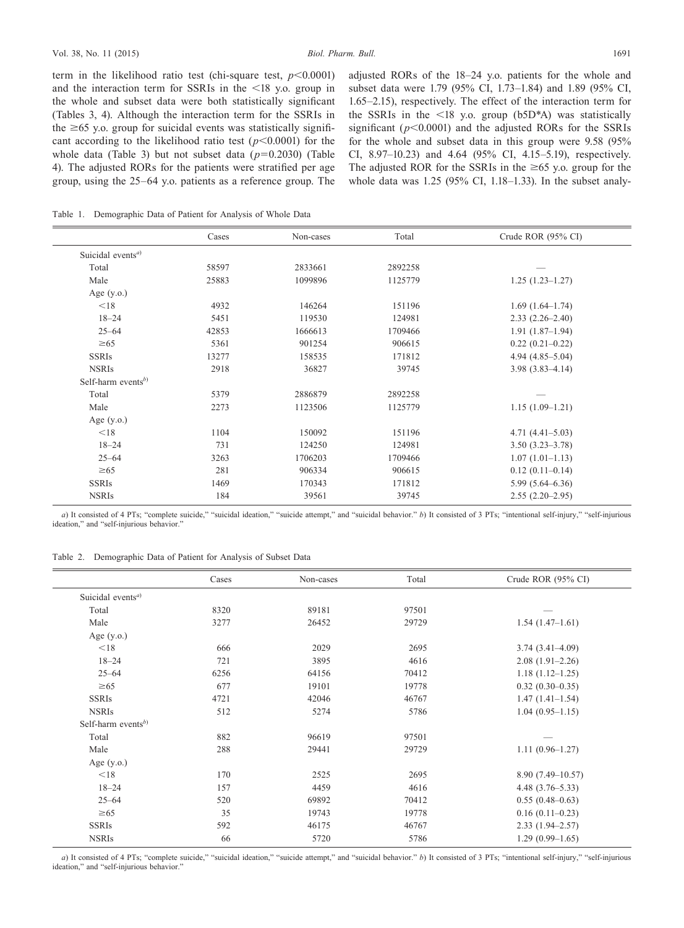term in the likelihood ratio test (chi-square test,  $p < 0.0001$ ) and the interaction term for SSRIs in the <18 y.o. group in the whole and subset data were both statistically significant (Tables 3, 4). Although the interaction term for the SSRIs in the  $\geq 65$  y.o. group for suicidal events was statistically significant according to the likelihood ratio test (*p*<0.0001) for the whole data (Table 3) but not subset data (*p*=0.2030) (Table 4). The adjusted RORs for the patients were stratified per age group, using the 25–64 y.o. patients as a reference group. The

adjusted RORs of the 18–24 y.o. patients for the whole and subset data were 1.79 (95% CI, 1.73–1.84) and 1.89 (95% CI, 1.65–2.15), respectively. The effect of the interaction term for the SSRIs in the <18 y.o. group (b5D\*A) was statistically significant  $(p<0.0001)$  and the adjusted RORs for the SSRIs for the whole and subset data in this group were 9.58 (95% CI, 8.97–10.23) and 4.64 (95% CI, 4.15–5.19), respectively. The adjusted ROR for the SSRIs in the  $\geq 65$  y.o. group for the whole data was 1.25 (95% CI, 1.18–1.33). In the subset analy-

Table 1. Demographic Data of Patient for Analysis of Whole Data

|                                            | Cases | Non-cases | Total   | Crude ROR (95% CI)  |
|--------------------------------------------|-------|-----------|---------|---------------------|
| Suicidal events <sup><math>a)</math></sup> |       |           |         |                     |
| Total                                      | 58597 | 2833661   | 2892258 |                     |
| Male                                       | 25883 | 1099896   | 1125779 | $1.25(1.23 - 1.27)$ |
| Age $(y.o.)$                               |       |           |         |                     |
| < 18                                       | 4932  | 146264    | 151196  | $1.69(1.64-1.74)$   |
| $18 - 24$                                  | 5451  | 119530    | 124981  | $2.33(2.26 - 2.40)$ |
| $25 - 64$                                  | 42853 | 1666613   | 1709466 | $1.91(1.87-1.94)$   |
| $\geq 65$                                  | 5361  | 901254    | 906615  | $0.22(0.21-0.22)$   |
| <b>SSRIs</b>                               | 13277 | 158535    | 171812  | $4.94(4.85 - 5.04)$ |
| <b>NSRIs</b>                               | 2918  | 36827     | 39745   | $3.98(3.83 - 4.14)$ |
| Self-harm events <sup>b)</sup>             |       |           |         |                     |
| Total                                      | 5379  | 2886879   | 2892258 |                     |
| Male                                       | 2273  | 1123506   | 1125779 | $1.15(1.09-1.21)$   |
| Age $(y.o.)$                               |       |           |         |                     |
| < 18                                       | 1104  | 150092    | 151196  | $4.71(4.41 - 5.03)$ |
| $18 - 24$                                  | 731   | 124250    | 124981  | $3.50(3.23 - 3.78)$ |
| $25 - 64$                                  | 3263  | 1706203   | 1709466 | $1.07(1.01-1.13)$   |
| $\geq 65$                                  | 281   | 906334    | 906615  | $0.12(0.11-0.14)$   |
| <b>SSRIs</b>                               | 1469  | 170343    | 171812  | $5.99(5.64 - 6.36)$ |
| <b>NSRIs</b>                               | 184   | 39561     | 39745   | $2.55(2.20-2.95)$   |

*a*) It consisted of 4 PTs; "complete suicide," "suicidal ideation," "suicide attempt," and "suicidal behavior," *b*) It consisted of 3 PTs; "intentional self-injury," "self-injurious ideation," and "self-injurious behavior."

Table 2. Demographic Data of Patient for Analysis of Subset Data

|                                      | Cases | Non-cases | Total | Crude ROR $(95\% \text{ CI})$ |
|--------------------------------------|-------|-----------|-------|-------------------------------|
| Suicidal events <sup><i>a</i>)</sup> |       |           |       |                               |
| Total                                | 8320  | 89181     | 97501 |                               |
| Male                                 | 3277  | 26452     | 29729 | $1.54(1.47-1.61)$             |
| Age $(y.o.)$                         |       |           |       |                               |
| < 18                                 | 666   | 2029      | 2695  | $3.74(3.41 - 4.09)$           |
| $18 - 24$                            | 721   | 3895      | 4616  | $2.08(1.91-2.26)$             |
| $25 - 64$                            | 6256  | 64156     | 70412 | $1.18(1.12 - 1.25)$           |
| $\geq 65$                            | 677   | 19101     | 19778 | $0.32(0.30-0.35)$             |
| <b>SSRIs</b>                         | 4721  | 42046     | 46767 | $1.47(1.41-1.54)$             |
| <b>NSRIs</b>                         | 512   | 5274      | 5786  | $1.04(0.95 - 1.15)$           |
| Self-harm events <sup>b)</sup>       |       |           |       |                               |
| Total                                | 882   | 96619     | 97501 |                               |
| Male                                 | 288   | 29441     | 29729 | $1.11(0.96 - 1.27)$           |
| Age $(y.o.)$                         |       |           |       |                               |
| < 18                                 | 170   | 2525      | 2695  | $8.90(7.49 - 10.57)$          |
| $18 - 24$                            | 157   | 4459      | 4616  | $4.48(3.76 - 5.33)$           |
| $25 - 64$                            | 520   | 69892     | 70412 | $0.55(0.48-0.63)$             |
| $\geq 65$                            | 35    | 19743     | 19778 | $0.16(0.11-0.23)$             |
| <b>SSRIs</b>                         | 592   | 46175     | 46767 | $2.33(1.94 - 2.57)$           |
| <b>NSRIs</b>                         | 66    | 5720      | 5786  | $1.29(0.99-1.65)$             |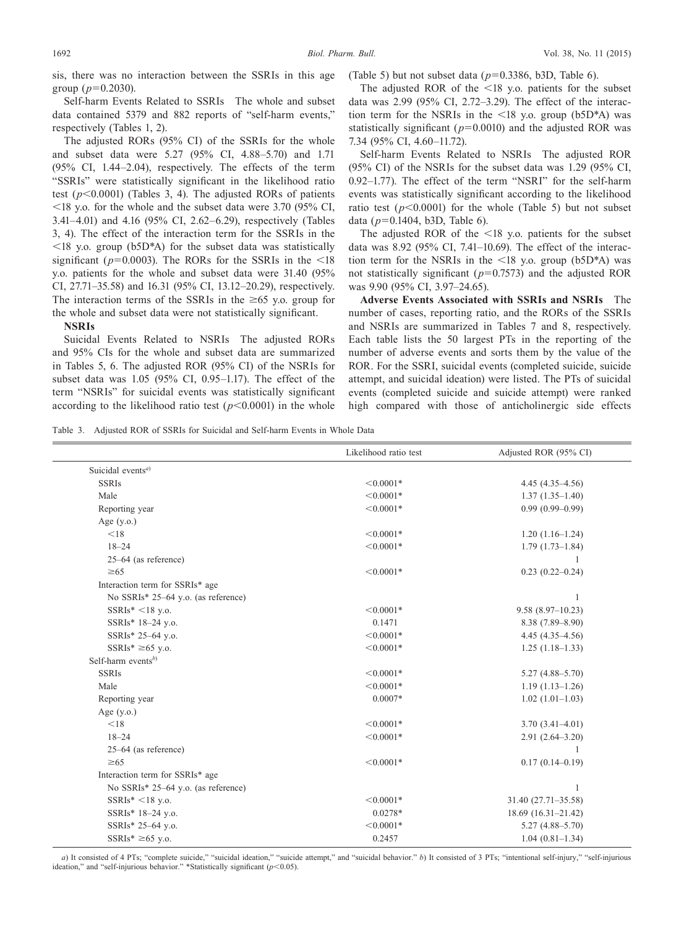sis, there was no interaction between the SSRIs in this age group  $(p=0.2030)$ .

Self-harm Events Related to SSRIs The whole and subset data contained 5379 and 882 reports of "self-harm events," respectively (Tables 1, 2).

The adjusted RORs (95% CI) of the SSRIs for the whole and subset data were 5.27 (95% CI, 4.88–5.70) and 1.71 (95% CI, 1.44–2.04), respectively. The effects of the term "SSRIs" were statistically significant in the likelihood ratio test (*p*<0.0001) (Tables 3, 4). The adjusted RORs of patients  $\leq$ 18 y.o. for the whole and the subset data were 3.70 (95% CI, 3.41–4.01) and 4.16 (95% CI, 2.62–6.29), respectively (Tables 3, 4). The effect of the interaction term for the SSRIs in the  $\langle 18 \rangle$  y.o. group (b5D\*A) for the subset data was statistically significant ( $p=0.0003$ ). The RORs for the SSRIs in the  $\leq 18$ y.o. patients for the whole and subset data were 31.40 (95% CI, 27.71–35.58) and 16.31 (95% CI, 13.12–20.29), respectively. The interaction terms of the SSRIs in the  $\geq 65$  y.o. group for the whole and subset data were not statistically significant.

**NSRIs**

Suicidal Events Related to NSRIs The adjusted RORs and 95% CIs for the whole and subset data are summarized in Tables 5, 6. The adjusted ROR (95% CI) of the NSRIs for subset data was 1.05 (95% CI, 0.95–1.17). The effect of the term "NSRIs" for suicidal events was statistically significant according to the likelihood ratio test  $(p<0.0001)$  in the whole

(Table 5) but not subset data (*p*=0.3386, b3D, Table 6).

The adjusted ROR of the  $\leq 18$  y.o. patients for the subset data was 2.99 (95% CI, 2.72–3.29). The effect of the interaction term for the NSRIs in the  $\langle 18 \rangle$  y.o. group (b5D\*A) was statistically significant ( $p=0.0010$ ) and the adjusted ROR was 7.34 (95% CI, 4.60–11.72).

Self-harm Events Related to NSRIs The adjusted ROR (95% CI) of the NSRIs for the subset data was 1.29 (95% CI, 0.92–1.77). The effect of the term "NSRI" for the self-harm events was statistically significant according to the likelihood ratio test  $(p<0.0001)$  for the whole (Table 5) but not subset data (*p*=0.1404, b3D, Table 6).

The adjusted ROR of the <18 y.o. patients for the subset data was 8.92 (95% CI, 7.41–10.69). The effect of the interaction term for the NSRIs in the <18 y.o. group (b5D\*A) was not statistically significant (*p*=0.7573) and the adjusted ROR was 9.90 (95% CI, 3.97–24.65).

**Adverse Events Associated with SSRIs and NSRIs** The number of cases, reporting ratio, and the RORs of the SSRIs and NSRIs are summarized in Tables 7 and 8, respectively. Each table lists the 50 largest PTs in the reporting of the number of adverse events and sorts them by the value of the ROR. For the SSRI, suicidal events (completed suicide, suicide attempt, and suicidal ideation) were listed. The PTs of suicidal events (completed suicide and suicide attempt) were ranked high compared with those of anticholinergic side effects

Table 3. Adjusted ROR of SSRIs for Suicidal and Self-harm Events in Whole Data

| Suicidal events <sup>a)</sup>                             |  |
|-----------------------------------------------------------|--|
| <b>SSRIs</b><br>$< 0.0001*$<br>$4.45(4.35-4.56)$          |  |
| $< 0.0001*$<br>Male<br>$1.37(1.35-1.40)$                  |  |
| $< 0.0001*$<br>$0.99(0.99 - 0.99)$<br>Reporting year      |  |
| Age $(y.o.)$                                              |  |
| < 18<br>$< 0.0001*$<br>$1.20(1.16-1.24)$                  |  |
| $18 - 24$<br>$< 0.0001*$<br>$1.79(1.73 - 1.84)$           |  |
| $25-64$ (as reference)                                    |  |
| $< 0.0001*$<br>$0.23(0.22 - 0.24)$<br>$\geq 65$           |  |
| Interaction term for SSRIs* age                           |  |
| No SSRIs* 25-64 y.o. (as reference)<br>1                  |  |
| $SSRIs^* < 18$ y.o.<br>$< 0.0001*$<br>$9.58(8.97-10.23)$  |  |
| 0.1471<br>SSRIs* 18-24 y.o.<br>$8.38(7.89 - 8.90)$        |  |
| $< 0.0001*$<br>SSRIs* 25-64 y.o.<br>$4.45(4.35-4.56)$     |  |
| SSRIs* $\geq 65$ y.o.<br>$< 0.0001*$<br>$1.25(1.18-1.33)$ |  |
| Self-harm events <sup>b)</sup>                            |  |
| <b>SSRIs</b><br>$< 0.0001*$<br>$5.27(4.88 - 5.70)$        |  |
| Male<br>$< 0.0001*$<br>$1.19(1.13 - 1.26)$                |  |
| $0.0007*$<br>$1.02(1.01-1.03)$<br>Reporting year          |  |
| Age $(y.o.)$                                              |  |
| < 18<br>$< 0.0001*$<br>$3.70(3.41 - 4.01)$                |  |
| $18 - 24$<br>$< 0.0001*$<br>$2.91(2.64 - 3.20)$           |  |
| $25-64$ (as reference)<br>1                               |  |
| $\geq 65$<br>$< 0.0001*$<br>$0.17(0.14 - 0.19)$           |  |
| Interaction term for SSRIs* age                           |  |
| No SSRIs* 25-64 y.o. (as reference)<br>1                  |  |
| $SSRIs^* < 18$ y.o.<br>$< 0.0001*$<br>31.40 (27.71-35.58) |  |
| SSRIs* 18-24 y.o.<br>$0.0278*$<br>$18.69(16.31-21.42)$    |  |
| SSRIs* 25-64 y.o.<br>$< 0.0001*$<br>$5.27(4.88 - 5.70)$   |  |
| SSRIs* $\geq 65$ y.o.<br>$1.04(0.81 - 1.34)$<br>0.2457    |  |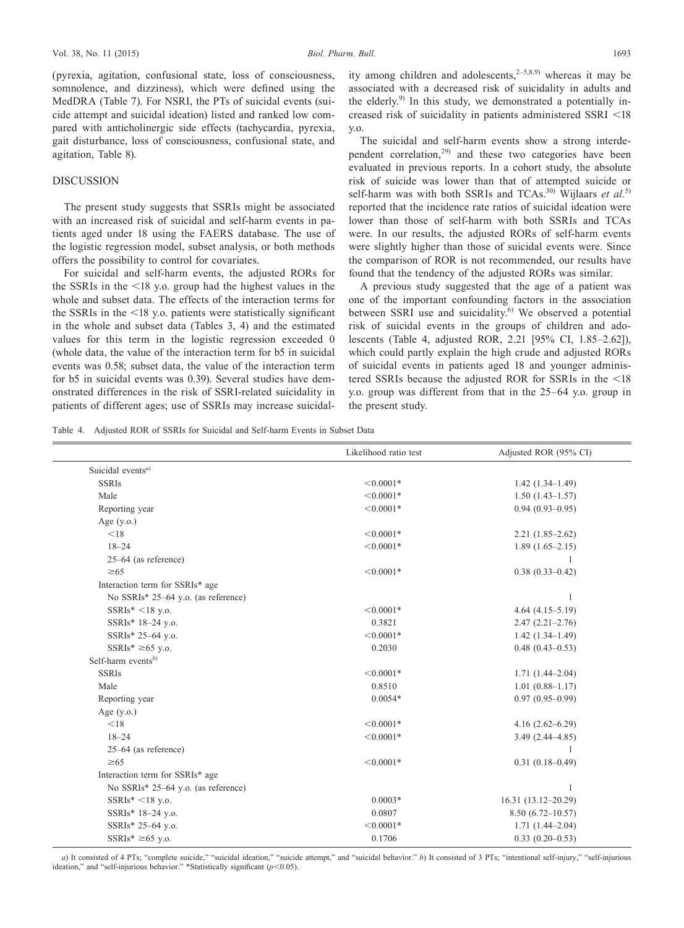(pyrexia, agitation, confusional state, loss of consciousness, somnolence, and dizziness), which were defined using the MedDRA (Table 7). For NSRI, the PTs of suicidal events (suicide attempt and suicidal ideation) listed and ranked low compared with anticholinergic side effects (tachycardia, pyrexia, gait disturbance, loss of consciousness, confusional state, and agitation, Table 8).

#### DISCUSSION

The present study suggests that SSRIs might be associated with an increased risk of suicidal and self-harm events in patients aged under 18 using the FAERS database. The use of the logistic regression model, subset analysis, or both methods offers the possibility to control for covariates.

For suicidal and self-harm events, the adjusted RORs for the SSRIs in the <18 y.o. group had the highest values in the whole and subset data. The effects of the interaction terms for the SSRIs in the <18 y.o. patients were statistically significant in the whole and subset data (Tables 3, 4) and the estimated values for this term in the logistic regression exceeded 0 (whole data, the value of the interaction term for b5 in suicidal events was 0.58; subset data, the value of the interaction term for b5 in suicidal events was 0.39). Several studies have demonstrated differences in the risk of SSRI-related suicidality in patients of different ages; use of SSRIs may increase suicidality among children and adolescents,  $2-5,8,9$  whereas it may be associated with a decreased risk of suicidality in adults and the elderly.<sup>9)</sup> In this study, we demonstrated a potentially increased risk of suicidality in patients administered SSRI <18 y.o.

The suicidal and self-harm events show a strong interdependent correlation,29) and these two categories have been evaluated in previous reports. In a cohort study, the absolute risk of suicide was lower than that of attempted suicide or self-harm was with both SSRIs and TCAs.<sup>30)</sup> Wijlaars et al.<sup>5)</sup> reported that the incidence rate ratios of suicidal ideation were lower than those of self-harm with both SSRIs and TCAs were. In our results, the adjusted RORs of self-harm events were slightly higher than those of suicidal events were. Since the comparison of ROR is not recommended, our results have found that the tendency of the adjusted RORs was similar.

A previous study suggested that the age of a patient was one of the important confounding factors in the association between SSRI use and suicidality.<sup>6)</sup> We observed a potential risk of suicidal events in the groups of children and adolescents (Table 4, adjusted ROR, 2.21 [95% CI, 1.85–2.62]), which could partly explain the high crude and adjusted RORs of suicidal events in patients aged 18 and younger administered SSRIs because the adjusted ROR for SSRIs in the <18 y.o. group was different from that in the 25–64 y.o. group in the present study.

Table 4. Adjusted ROR of SSRIs for Suicidal and Self-harm Events in Subset Data

|                                            | Likelihood ratio test | Adjusted ROR (95% CI) |
|--------------------------------------------|-----------------------|-----------------------|
| Suicidal events <sup><math>a)</math></sup> |                       |                       |
| <b>SSRIs</b>                               | $< 0.0001*$           | $1.42(1.34-1.49)$     |
| Male                                       | $< 0.0001*$           | $1.50(1.43 - 1.57)$   |
| Reporting year                             | $< 0.0001*$           | $0.94(0.93 - 0.95)$   |
| Age $(y.o.)$                               |                       |                       |
| < 18                                       | $< 0.0001*$           | $2.21(1.85-2.62)$     |
| $18 - 24$                                  | $< 0.0001*$           | $1.89(1.65-2.15)$     |
| $25-64$ (as reference)                     |                       |                       |
| $\geq 65$                                  | $< 0.0001*$           | $0.38(0.33 - 0.42)$   |
| Interaction term for SSRIs* age            |                       |                       |
| No SSRIs* 25-64 y.o. (as reference)        |                       | 1                     |
| $SSRIs^* < 18$ y.o.                        | $< 0.0001*$           | $4.64(4.15-5.19)$     |
| SSRIs* 18-24 y.o.                          | 0.3821                | $2.47(2.21 - 2.76)$   |
| SSRIs* 25-64 y.o.                          | $< 0.0001*$           | $1.42(1.34-1.49)$     |
| SSRIs* $\geq 65$ y.o.                      | 0.2030                | $0.48(0.43 - 0.53)$   |
| Self-harm events $^{b)}$                   |                       |                       |
| <b>SSRIs</b>                               | $< 0.0001*$           | $1.71(1.44 - 2.04)$   |
| Male                                       | 0.8510                | $1.01(0.88 - 1.17)$   |
| Reporting year                             | $0.0054*$             | $0.97(0.95-0.99)$     |
| Age $(y.o.)$                               |                       |                       |
| < 18                                       | $< 0.0001*$           | $4.16(2.62 - 6.29)$   |
| $18 - 24$                                  | $< 0.0001*$           | $3.49(2.44 - 4.85)$   |
| $25-64$ (as reference)                     |                       | 1                     |
| $\geq 65$                                  | $< 0.0001*$           | $0.31(0.18 - 0.49)$   |
| Interaction term for SSRIs* age            |                       |                       |
| No SSRIs* 25–64 y.o. (as reference)        |                       | 1                     |
| $SSRIs^* < 18$ y.o.                        | $0.0003*$             | 16.31 (13.12-20.29)   |
| SSRIs* 18-24 y.o.                          | 0.0807                | $8.50(6.72 - 10.57)$  |
| SSRIs* 25-64 y.o.                          | $< 0.0001*$           | $1.71(1.44 - 2.04)$   |
| $SSRIs^* \geq 65$ y.o.                     | 0.1706                | $0.33(0.20-0.53)$     |
|                                            |                       |                       |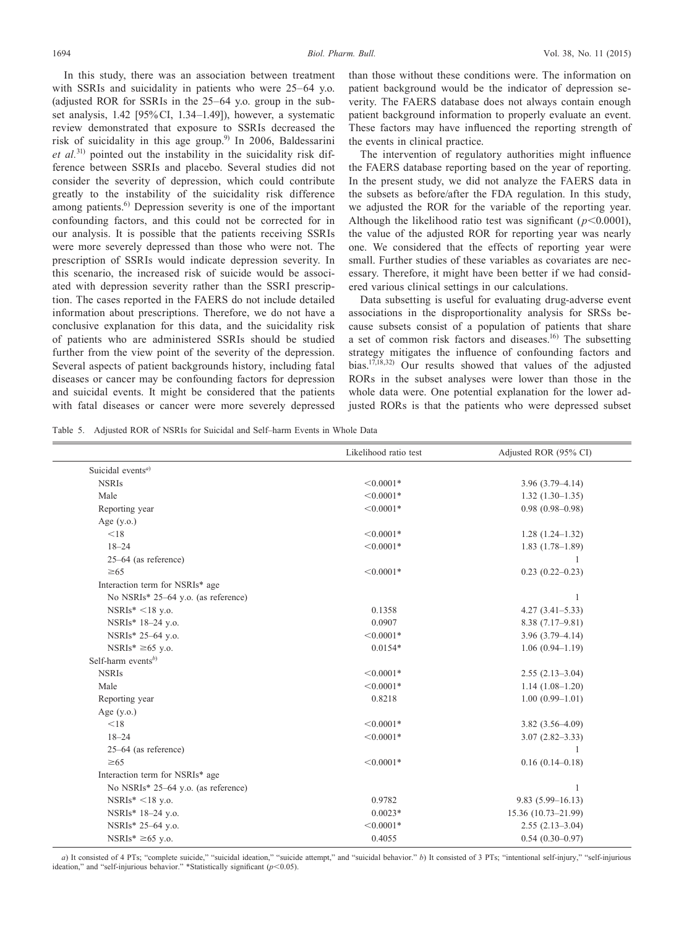In this study, there was an association between treatment with SSRIs and suicidality in patients who were 25–64 y.o. (adjusted ROR for SSRIs in the 25–64 y.o. group in the subset analysis, 1.42 [95% CI, 1.34–1.49]), however, a systematic review demonstrated that exposure to SSRIs decreased the risk of suicidality in this age group.<sup>9)</sup> In 2006, Baldessarini *et al.*31) pointed out the instability in the suicidality risk difference between SSRIs and placebo. Several studies did not consider the severity of depression, which could contribute greatly to the instability of the suicidality risk difference among patients. $^{6}$  Depression severity is one of the important confounding factors, and this could not be corrected for in our analysis. It is possible that the patients receiving SSRIs were more severely depressed than those who were not. The prescription of SSRIs would indicate depression severity. In this scenario, the increased risk of suicide would be associated with depression severity rather than the SSRI prescription. The cases reported in the FAERS do not include detailed information about prescriptions. Therefore, we do not have a conclusive explanation for this data, and the suicidality risk of patients who are administered SSRIs should be studied further from the view point of the severity of the depression. Several aspects of patient backgrounds history, including fatal diseases or cancer may be confounding factors for depression and suicidal events. It might be considered that the patients with fatal diseases or cancer were more severely depressed

than those without these conditions were. The information on patient background would be the indicator of depression severity. The FAERS database does not always contain enough patient background information to properly evaluate an event. These factors may have influenced the reporting strength of the events in clinical practice.

The intervention of regulatory authorities might influence the FAERS database reporting based on the year of reporting. In the present study, we did not analyze the FAERS data in the subsets as before/after the FDA regulation. In this study, we adjusted the ROR for the variable of the reporting year. Although the likelihood ratio test was significant  $(p<0.0001)$ , the value of the adjusted ROR for reporting year was nearly one. We considered that the effects of reporting year were small. Further studies of these variables as covariates are necessary. Therefore, it might have been better if we had considered various clinical settings in our calculations.

Data subsetting is useful for evaluating drug-adverse event associations in the disproportionality analysis for SRSs because subsets consist of a population of patients that share a set of common risk factors and diseases.16) The subsetting strategy mitigates the influence of confounding factors and bias.<sup>17,18,32)</sup> Our results showed that values of the adjusted RORs in the subset analyses were lower than those in the whole data were. One potential explanation for the lower adjusted RORs is that the patients who were depressed subset

Table 5. Adjusted ROR of NSRIs for Suicidal and Self–harm Events in Whole Data

|                                      | Likelihood ratio test | Adjusted ROR (95% CI) |
|--------------------------------------|-----------------------|-----------------------|
| Suicidal events <sup><i>a</i>)</sup> |                       |                       |
| <b>NSRIs</b>                         | $< 0.0001*$           | $3.96(3.79 - 4.14)$   |
| Male                                 | $< 0.0001*$           | $1.32(1.30-1.35)$     |
| Reporting year                       | $< 0.0001*$           | $0.98(0.98 - 0.98)$   |
| Age $(y.o.)$                         |                       |                       |
| < 18                                 | $< 0.0001*$           | $1.28(1.24 - 1.32)$   |
| $18 - 24$                            | $< 0.0001*$           | $1.83(1.78-1.89)$     |
| $25-64$ (as reference)               |                       |                       |
| $\geq 65$                            | $< 0.0001*$           | $0.23(0.22 - 0.23)$   |
| Interaction term for NSRIs* age      |                       |                       |
| No NSRIs* 25–64 y.o. (as reference)  |                       | 1                     |
| $NSRIs^* < 18$ y.o.                  | 0.1358                | $4.27(3.41 - 5.33)$   |
| NSRIs* 18-24 y.o.                    | 0.0907                | $8.38(7.17-9.81)$     |
| NSRIs* 25-64 y.o.                    | $< 0.0001*$           | $3.96(3.79 - 4.14)$   |
| $NSRIs^* \geq 65$ y.o.               | $0.0154*$             | $1.06(0.94 - 1.19)$   |
| Self-harm events <sup>b)</sup>       |                       |                       |
| <b>NSRIs</b>                         | $< 0.0001*$           | $2.55(2.13-3.04)$     |
| Male                                 | $< 0.0001*$           | $1.14(1.08-1.20)$     |
| Reporting year                       | 0.8218                | $1.00(0.99 - 1.01)$   |
| Age $(y.o.)$                         |                       |                       |
| < 18                                 | $< 0.0001*$           | $3.82(3.56 - 4.09)$   |
| $18 - 24$                            | $< 0.0001*$           | $3.07(2.82 - 3.33)$   |
| $25-64$ (as reference)               |                       |                       |
| $\geq 65$                            | $< 0.0001*$           | $0.16(0.14 - 0.18)$   |
| Interaction term for NSRIs* age      |                       |                       |
| No NSRIs* 25–64 y.o. (as reference)  |                       |                       |
| NSRIs* <18 y.o.                      | 0.9782                | $9.83(5.99 - 16.13)$  |
| NSRIs* 18-24 y.o.                    | $0.0023*$             | 15.36 (10.73-21.99)   |
| NSRIs* 25-64 y.o.                    | $< 0.0001*$           | $2.55(2.13-3.04)$     |
| NSRIs* $\geq 65$ y.o.                | 0.4055                | $0.54(0.30-0.97)$     |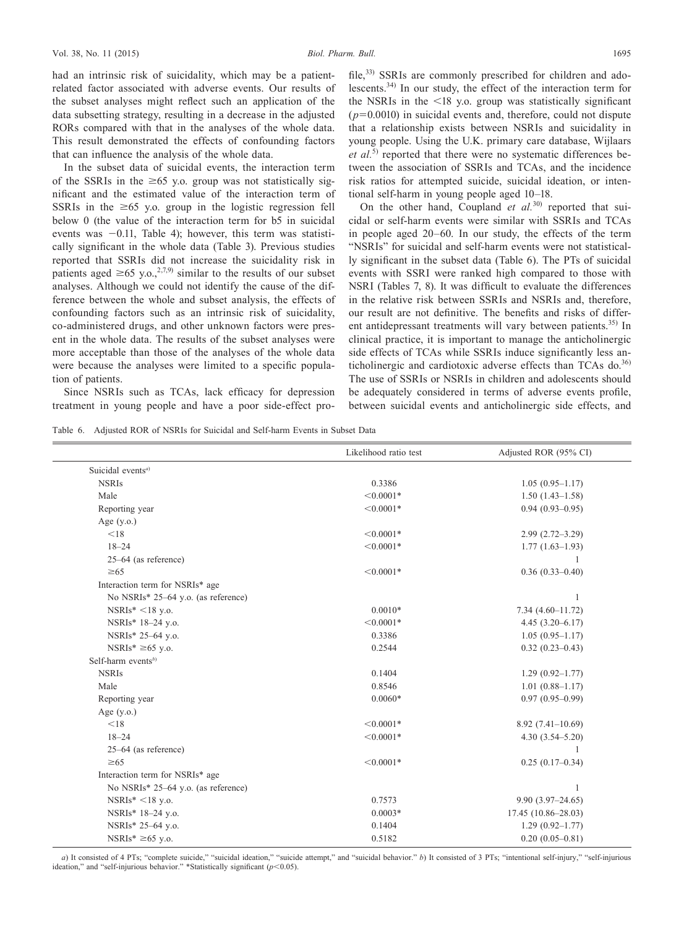had an intrinsic risk of suicidality, which may be a patientrelated factor associated with adverse events. Our results of the subset analyses might reflect such an application of the data subsetting strategy, resulting in a decrease in the adjusted RORs compared with that in the analyses of the whole data. This result demonstrated the effects of confounding factors that can influence the analysis of the whole data.

In the subset data of suicidal events, the interaction term of the SSRIs in the  $\geq 65$  y.o. group was not statistically significant and the estimated value of the interaction term of SSRIs in the  $\geq 65$  y.o. group in the logistic regression fell below 0 (the value of the interaction term for b5 in suicidal events was −0.11, Table 4); however, this term was statistically significant in the whole data (Table 3). Previous studies reported that SSRIs did not increase the suicidality risk in patients aged  $\geq 65$  y.o.,<sup>2,7,9)</sup> similar to the results of our subset analyses. Although we could not identify the cause of the difference between the whole and subset analysis, the effects of confounding factors such as an intrinsic risk of suicidality, co-administered drugs, and other unknown factors were present in the whole data. The results of the subset analyses were more acceptable than those of the analyses of the whole data were because the analyses were limited to a specific population of patients.

Since NSRIs such as TCAs, lack efficacy for depression treatment in young people and have a poor side-effect profile,<sup>33)</sup> SSRIs are commonly prescribed for children and adolescents.34) In our study, the effect of the interaction term for the NSRIs in the  $\leq 18$  y.o. group was statistically significant  $(p=0.0010)$  in suicidal events and, therefore, could not dispute that a relationship exists between NSRIs and suicidality in young people. Using the U.K. primary care database, Wijlaars *et al.*5) reported that there were no systematic differences between the association of SSRIs and TCAs, and the incidence risk ratios for attempted suicide, suicidal ideation, or intentional self-harm in young people aged 10–18.

On the other hand, Coupland *et al.*<sup>30</sup> reported that suicidal or self-harm events were similar with SSRIs and TCAs in people aged 20–60. In our study, the effects of the term "NSRIs" for suicidal and self-harm events were not statistically significant in the subset data (Table 6). The PTs of suicidal events with SSRI were ranked high compared to those with NSRI (Tables 7, 8). It was difficult to evaluate the differences in the relative risk between SSRIs and NSRIs and, therefore, our result are not definitive. The benefits and risks of different antidepressant treatments will vary between patients.<sup>35)</sup> In clinical practice, it is important to manage the anticholinergic side effects of TCAs while SSRIs induce significantly less anticholinergic and cardiotoxic adverse effects than TCAs do. $36$ The use of SSRIs or NSRIs in children and adolescents should be adequately considered in terms of adverse events profile, between suicidal events and anticholinergic side effects, and

Table 6. Adjusted ROR of NSRIs for Suicidal and Self-harm Events in Subset Data

|                                     | Likelihood ratio test | Adjusted ROR (95% CI) |
|-------------------------------------|-----------------------|-----------------------|
| Suicidal events <sup>a)</sup>       |                       |                       |
| <b>NSRIs</b>                        | 0.3386                | $1.05(0.95 - 1.17)$   |
| Male                                | $< 0.0001*$           | $1.50(1.43 - 1.58)$   |
| Reporting year                      | $< 0.0001*$           | $0.94(0.93 - 0.95)$   |
| Age $(y.o.)$                        |                       |                       |
| < 18                                | $< 0.0001*$           | $2.99(2.72 - 3.29)$   |
| $18 - 24$                           | $< 0.0001*$           | $1.77(1.63-1.93)$     |
| 25-64 (as reference)                |                       |                       |
| $\geq 65$                           | $< 0.0001*$           | $0.36(0.33 - 0.40)$   |
| Interaction term for NSRIs* age     |                       |                       |
| No NSRIs* 25-64 y.o. (as reference) |                       | 1                     |
| $NSRIs^* < 18$ y.o.                 | $0.0010*$             | $7.34(4.60 - 11.72)$  |
| NSRIs* 18-24 y.o.                   | $< 0.0001*$           | $4.45(3.20 - 6.17)$   |
| NSRIs* 25-64 y.o.                   | 0.3386                | $1.05(0.95 - 1.17)$   |
| NSRIs* $\geq 65$ y.o.               | 0.2544                | $0.32(0.23 - 0.43)$   |
| Self-harm events $^{b)}$            |                       |                       |
| <b>NSRIs</b>                        | 0.1404                | $1.29(0.92 - 1.77)$   |
| Male                                | 0.8546                | $1.01(0.88 - 1.17)$   |
| Reporting year                      | $0.0060*$             | $0.97(0.95 - 0.99)$   |
| Age $(y.o.)$                        |                       |                       |
| < 18                                | $< 0.0001*$           | $8.92(7.41-10.69)$    |
| $18 - 24$                           | $< 0.0001*$           | $4.30(3.54 - 5.20)$   |
| $25-64$ (as reference)              |                       | 1                     |
| $\geq 65$                           | $< 0.0001*$           | $0.25(0.17-0.34)$     |
| Interaction term for NSRIs* age     |                       |                       |
| No NSRIs* 25–64 y.o. (as reference) |                       | 1                     |
| $NSRIs^* < 18$ y.o.                 | 0.7573                | $9.90(3.97 - 24.65)$  |
| NSRIs* 18-24 y.o.                   | $0.0003*$             | 17.45 (10.86-28.03)   |
| NSRIs* 25-64 y.o.                   | 0.1404                | $1.29(0.92 - 1.77)$   |
| NSRIs <sup>*</sup> $\geq$ 65 v.o.   | 0.5182                | $0.20(0.05-0.81)$     |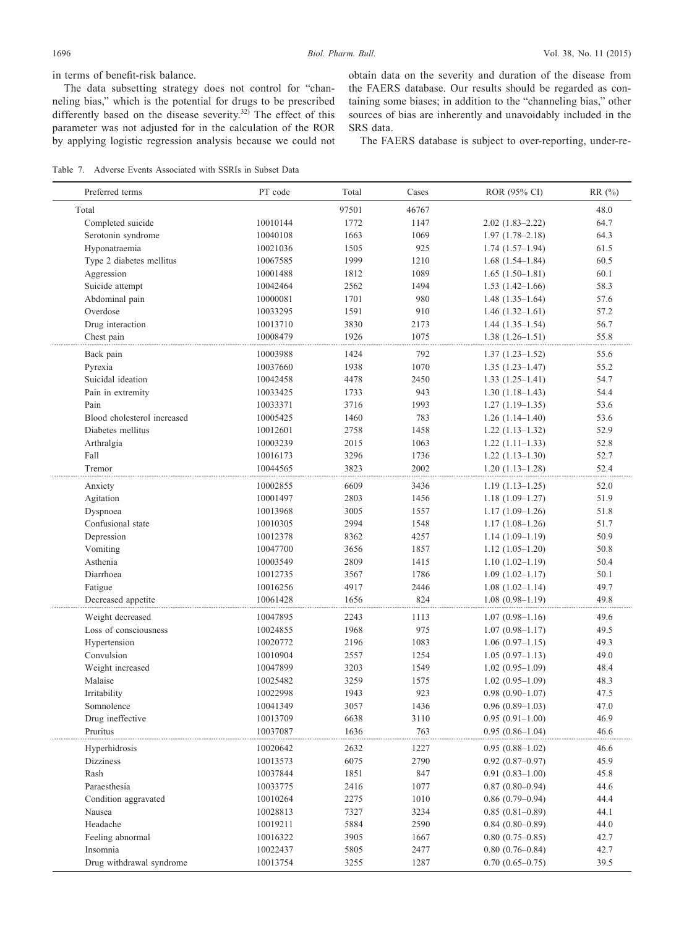in terms of benefit-risk balance.

The data subsetting strategy does not control for "channeling bias," which is the potential for drugs to be prescribed differently based on the disease severity.<sup>32)</sup> The effect of this parameter was not adjusted for in the calculation of the ROR by applying logistic regression analysis because we could not obtain data on the severity and duration of the disease from the FAERS database. Our results should be regarded as containing some biases; in addition to the "channeling bias," other sources of bias are inherently and unavoidably included in the SRS data.

The FAERS database is subject to over-reporting, under-re-

Table 7. Adverse Events Associated with SSRIs in Subset Data

| Preferred terms             | PT code  | Total | Cases | ROR (95% CI)           | RR (%) |
|-----------------------------|----------|-------|-------|------------------------|--------|
| Total                       |          | 97501 | 46767 |                        | 48.0   |
| Completed suicide           | 10010144 | 1772  | 1147  | $2.02(1.83 - 2.22)$    | 64.7   |
| Serotonin syndrome          | 10040108 | 1663  | 1069  | $1.97(1.78 - 2.18)$    | 64.3   |
| Hyponatraemia               | 10021036 | 1505  | 925   | $1.74(1.57-1.94)$      | 61.5   |
| Type 2 diabetes mellitus    | 10067585 | 1999  | 1210  | $1.68(1.54 - 1.84)$    | 60.5   |
| Aggression                  | 10001488 | 1812  | 1089  | $1.65(1.50-1.81)$      | 60.1   |
| Suicide attempt             | 10042464 | 2562  | 1494  | $1.53(1.42 - 1.66)$    | 58.3   |
| Abdominal pain              | 10000081 | 1701  | 980   | $1.48(1.35-1.64)$      | 57.6   |
| Overdose                    | 10033295 | 1591  | 910   | $1.46(1.32-1.61)$      | 57.2   |
| Drug interaction            | 10013710 | 3830  | 2173  | $1.44(1.35-1.54)$      | 56.7   |
| Chest pain                  | 10008479 | 1926  | 1075  | $1.38(1.26 - 1.51)$    | 55.8   |
| Back pain                   | 10003988 | 1424  | 792   | $1.37(1.23 - 1.52)$    | 55.6   |
| Pyrexia                     | 10037660 | 1938  | 1070  | $1.35(1.23 - 1.47)$    | 55.2   |
| Suicidal ideation           | 10042458 | 4478  | 2450  |                        | 54.7   |
|                             |          |       |       | $1.33(1.25-1.41)$      |        |
| Pain in extremity           | 10033425 | 1733  | 943   | $1.30(1.18-1.43)$      | 54.4   |
| Pain                        | 10033371 | 3716  | 1993  | $1.27(1.19-1.35)$      | 53.6   |
| Blood cholesterol increased | 10005425 | 1460  | 783   | $1.26(1.14-1.40)$      | 53.6   |
| Diabetes mellitus           | 10012601 | 2758  | 1458  | $1.22(1.13-1.32)$      | 52.9   |
| Arthralgia                  | 10003239 | 2015  | 1063  | $1.22(1.11-1.33)$      | 52.8   |
| Fall                        | 10016173 | 3296  | 1736  | $1.22(1.13 - 1.30)$    | 52.7   |
| Tremor                      | 10044565 | 3823  | 2002  | $1.20(1.13 - 1.28)$    | 52.4   |
| Anxiety                     | 10002855 | 6609  | 3436  | $1.19(1.13 - 1.25)$    | 52.0   |
| Agitation                   | 10001497 | 2803  | 1456  | $1.18(1.09-1.27)$      | 51.9   |
| Dyspnoea                    | 10013968 | 3005  | 1557  | $1.17(1.09-1.26)$      | 51.8   |
| Confusional state           | 10010305 | 2994  | 1548  | $1.17(1.08-1.26)$      | 51.7   |
| Depression                  | 10012378 | 8362  | 4257  | $1.14(1.09-1.19)$      | 50.9   |
| Vomiting                    | 10047700 | 3656  | 1857  | $1.12(1.05-1.20)$      | 50.8   |
| Asthenia                    | 10003549 | 2809  | 1415  | $1.10(1.02 - 1.19)$    | 50.4   |
| Diarrhoea                   | 10012735 | 3567  | 1786  | $1.09(1.02 - 1.17)$    | 50.1   |
| Fatigue                     | 10016256 | 4917  | 2446  | $1.08(1.02 - 1.14)$    | 49.7   |
| Decreased appetite          | 10061428 | 1656  | 824   | $1.08(0.98 - 1.19)$    | 49.8   |
| Weight decreased            | 10047895 | 2243  | 1113  | $1.07(0.98 - 1.16)$    | 49.6   |
| Loss of consciousness       | 10024855 | 1968  | 975   | $1.07(0.98 - 1.17)$    | 49.5   |
| Hypertension                | 10020772 | 2196  | 1083  | $1.06(0.97-1.15)$      | 49.3   |
| Convulsion                  | 10010904 | 2557  | 1254  | $1.05(0.97-1.13)$      | 49.0   |
| Weight increased            | 10047899 | 3203  | 1549  | $1.02(0.95-1.09)$      | 48.4   |
| Malaise                     | 10025482 | 3259  | 1575  | $1.02(0.95-1.09)$      | 48.3   |
| Irritability                | 10022998 | 1943  | 923   | $0.98(0.90 - 1.07)$    | 47.5   |
| Somnolence                  | 10041349 | 3057  | 1436  | $0.96(0.89-1.03)$      | 47.0   |
| Drug ineffective            | 10013709 | 6638  | 3110  | $0.95(0.91-1.00)$      | 46.9   |
| Pruritus                    | 10037087 | 1636  | 763   | $0.95(0.86 - 1.04)$    | 46.6   |
| Hyperhidrosis               | 10020642 | 2632  | 1227  | $0.95(0.88-1.02)$      | 46.6   |
| Dizziness                   | 10013573 | 6075  | 2790  | $0.92$ $(0.87 - 0.97)$ | 45.9   |
| Rash                        | 10037844 | 1851  | 847   | $0.91(0.83 - 1.00)$    | 45.8   |
| Paraesthesia                | 10033775 | 2416  | 1077  | $0.87(0.80 - 0.94)$    | 44.6   |
| Condition aggravated        | 10010264 | 2275  | 1010  | $0.86(0.79-0.94)$      | 44.4   |
| Nausea                      | 10028813 | 7327  | 3234  | $0.85(0.81-0.89)$      | 44.1   |
| Headache                    | 10019211 | 5884  | 2590  | $0.84(0.80 - 0.89)$    | 44.0   |
| Feeling abnormal            | 10016322 | 3905  | 1667  | $0.80(0.75-0.85)$      | 42.7   |
| Insomnia                    | 10022437 | 5805  | 2477  | $0.80(0.76 - 0.84)$    | 42.7   |
| Drug withdrawal syndrome    | 10013754 | 3255  | 1287  | $0.70(0.65 - 0.75)$    | 39.5   |
|                             |          |       |       |                        |        |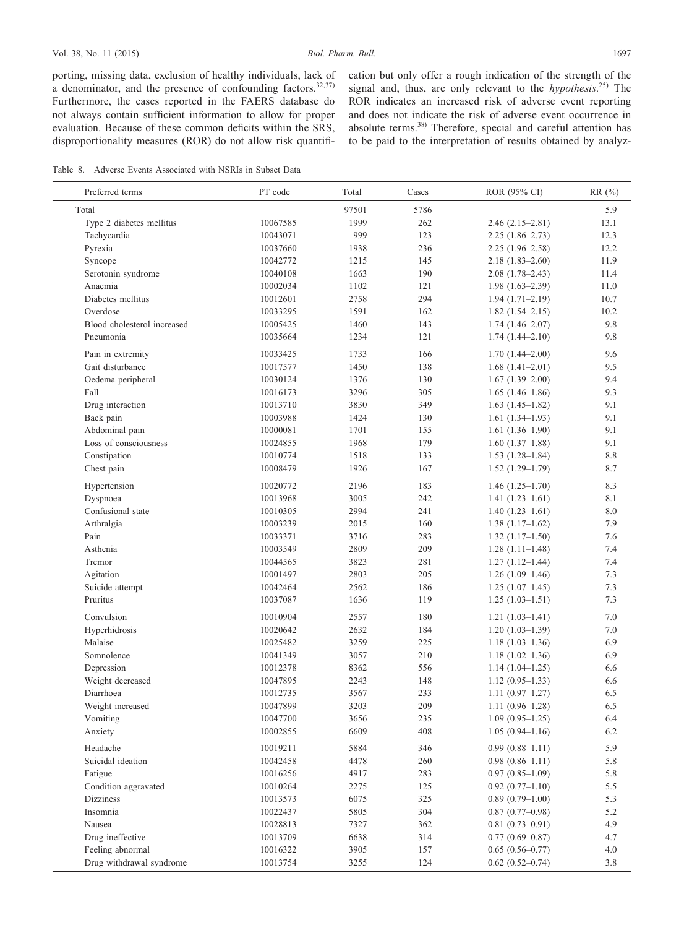porting, missing data, exclusion of healthy individuals, lack of a denominator, and the presence of confounding factors. $32,37$ ) Furthermore, the cases reported in the FAERS database do not always contain sufficient information to allow for proper evaluation. Because of these common deficits within the SRS, disproportionality measures (ROR) do not allow risk quantification but only offer a rough indication of the strength of the signal and, thus, are only relevant to the *hypothesis*. 25) The ROR indicates an increased risk of adverse event reporting and does not indicate the risk of adverse event occurrence in absolute terms.<sup>38)</sup> Therefore, special and careful attention has to be paid to the interpretation of results obtained by analyz-

Table 8. Adverse Events Associated with NSRIs in Subset Data

| Preferred terms             | PT code  | Total | Cases | ROR (95% CI)           | RR (%)  |
|-----------------------------|----------|-------|-------|------------------------|---------|
| Total                       |          | 97501 | 5786  |                        | 5.9     |
| Type 2 diabetes mellitus    | 10067585 | 1999  | 262   | $2.46(2.15-2.81)$      | 13.1    |
| Tachycardia                 | 10043071 | 999   | 123   | $2.25(1.86-2.73)$      | 12.3    |
| Pyrexia                     | 10037660 | 1938  | 236   | $2.25(1.96-2.58)$      | 12.2    |
| Syncope                     | 10042772 | 1215  | 145   | $2.18(1.83 - 2.60)$    | 11.9    |
| Serotonin syndrome          | 10040108 | 1663  | 190   | $2.08(1.78-2.43)$      | 11.4    |
| Anaemia                     | 10002034 | 1102  | 121   | $1.98(1.63 - 2.39)$    | 11.0    |
| Diabetes mellitus           | 10012601 | 2758  | 294   | $1.94(1.71-2.19)$      | 10.7    |
| Overdose                    | 10033295 | 1591  | 162   | $1.82(1.54 - 2.15)$    | 10.2    |
| Blood cholesterol increased | 10005425 | 1460  | 143   | $1.74(1.46-2.07)$      | 9.8     |
| Pneumonia                   | 10035664 | 1234  | 121   | $1.74(1.44 - 2.10)$    | 9.8     |
| Pain in extremity           | 10033425 | 1733  | 166   | $1.70(1.44 - 2.00)$    | 9.6     |
| Gait disturbance            | 10017577 | 1450  | 138   | $1.68(1.41-2.01)$      | 9.5     |
| Oedema peripheral           | 10030124 | 1376  | 130   | $1.67(1.39-2.00)$      | 9.4     |
| Fall                        | 10016173 | 3296  | 305   | $1.65(1.46-1.86)$      | 9.3     |
| Drug interaction            | 10013710 | 3830  | 349   | $1.63(1.45-1.82)$      | 9.1     |
| Back pain                   | 10003988 | 1424  | 130   | $1.61(1.34-1.93)$      | 9.1     |
| Abdominal pain              | 10000081 | 1701  | 155   | $1.61(1.36-1.90)$      | 9.1     |
| Loss of consciousness       | 10024855 | 1968  | 179   | $1.60(1.37-1.88)$      | 9.1     |
| Constipation                | 10010774 | 1518  | 133   | $1.53(1.28-1.84)$      | $8.8\,$ |
| Chest pain                  | 10008479 | 1926  | 167   | $1.52(1.29-1.79)$      | 8.7     |
| Hypertension                | 10020772 | 2196  | 183   | $1.46(1.25 - 1.70)$    | 8.3     |
| Dyspnoea                    | 10013968 | 3005  | 242   | $1.41(1.23-1.61)$      | 8.1     |
| Confusional state           | 10010305 | 2994  | 241   | $1.40(1.23-1.61)$      | 8.0     |
| Arthralgia                  | 10003239 | 2015  | 160   | $1.38(1.17-1.62)$      | 7.9     |
| Pain                        | 10033371 | 3716  | 283   | $1.32(1.17-1.50)$      | 7.6     |
| Asthenia                    | 10003549 | 2809  | 209   | $1.28(1.11-1.48)$      | 7.4     |
| Tremor                      | 10044565 | 3823  | 281   | $1.27(1.12 - 1.44)$    | 7.4     |
| Agitation                   | 10001497 | 2803  | 205   | $1.26(1.09-1.46)$      | 7.3     |
| Suicide attempt             | 10042464 | 2562  | 186   | $1.25(1.07-1.45)$      | 7.3     |
| Pruritus                    | 10037087 | 1636  | 119   | $1.25(1.03-1.51)$      | 7.3     |
| Convulsion                  | 10010904 | 2557  | 180   | $1.21(1.03-1.41)$      | 7.0     |
| Hyperhidrosis               | 10020642 | 2632  | 184   | $1.20(1.03-1.39)$      | $7.0\,$ |
| Malaise                     | 10025482 | 3259  | 225   | $1.18(1.03-1.36)$      | 6.9     |
| Somnolence                  | 10041349 | 3057  | 210   | $1.18(1.02 - 1.36)$    | 6.9     |
| Depression                  | 10012378 | 8362  | 556   | $1.14(1.04-1.25)$      | 6.6     |
| Weight decreased            | 10047895 | 2243  | 148   | $1.12(0.95-1.33)$      | 6.6     |
| Diarrhoea                   | 10012735 | 3567  | 233   | $1.11(0.97-1.27)$      | 6.5     |
| Weight increased            | 10047899 | 3203  | 209   | $1.11(0.96-1.28)$      | 6.5     |
| Vomiting                    | 10047700 | 3656  | 235   | $1.09(0.95-1.25)$      | 6.4     |
| Anxiety                     | 10002855 | 6609  | 408   | $1.05(0.94 - 1.16)$    | 6.2     |
| Headache                    | 10019211 | 5884  | 346   | $0.99(0.88 - 1.11)$    | 5.9     |
| Suicidal ideation           | 10042458 | 4478  | 260   | $0.98(0.86-1.11)$      | 5.8     |
| Fatigue                     | 10016256 | 4917  | 283   | $0.97(0.85-1.09)$      | 5.8     |
| Condition aggravated        | 10010264 | 2275  | 125   | $0.92(0.77-1.10)$      | $5.5\,$ |
| Dizziness                   | 10013573 | 6075  | 325   | $0.89(0.79-1.00)$      | 5.3     |
| Insomnia                    | 10022437 | 5805  | 304   | $0.87(0.77-0.98)$      | 5.2     |
| Nausea                      | 10028813 | 7327  | 362   | $0.81(0.73 - 0.91)$    | 4.9     |
| Drug ineffective            | 10013709 | 6638  | 314   | $0.77(0.69 - 0.87)$    | 4.7     |
| Feeling abnormal            | 10016322 | 3905  | 157   | $0.65(0.56 - 0.77)$    | 4.0     |
| Drug withdrawal syndrome    | 10013754 | 3255  | 124   | $0.62$ $(0.52 - 0.74)$ | 3.8     |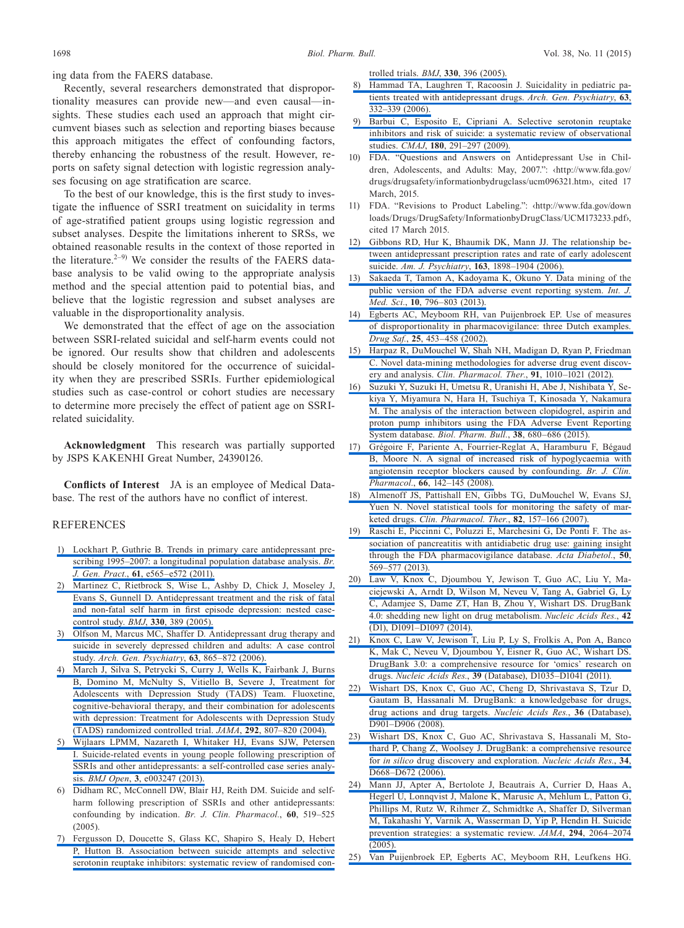ing data from the FAERS database.

Recently, several researchers demonstrated that disproportionality measures can provide new—and even causal—insights. These studies each used an approach that might circumvent biases such as selection and reporting biases because this approach mitigates the effect of confounding factors, thereby enhancing the robustness of the result. However, reports on safety signal detection with logistic regression analyses focusing on age stratification are scarce.

To the best of our knowledge, this is the first study to investigate the influence of SSRI treatment on suicidality in terms of age-stratified patient groups using logistic regression and subset analyses. Despite the limitations inherent to SRSs, we obtained reasonable results in the context of those reported in the literature. $2-9$ ) We consider the results of the FAERS database analysis to be valid owing to the appropriate analysis method and the special attention paid to potential bias, and believe that the logistic regression and subset analyses are valuable in the disproportionality analysis.

We demonstrated that the effect of age on the association between SSRI-related suicidal and self-harm events could not be ignored. Our results show that children and adolescents should be closely monitored for the occurrence of suicidality when they are prescribed SSRIs. Further epidemiological studies such as case-control or cohort studies are necessary to determine more precisely the effect of patient age on SSRIrelated suicidality.

**Acknowledgment** This research was partially supported by JSPS KAKENHI Great Number, 24390126.

**Conflicts of Interest** JA is an employee of Medical Database. The rest of the authors have no conflict of interest.

## REFERENCES

- [1\) Lockhart P, Guthrie B. Trends in primary care antidepressant pre](http://dx.doi.org/10.3399/bjgp11X593848)[scribing 1995–2007: a longitudinal population database analysis.](http://dx.doi.org/10.3399/bjgp11X593848) *Br. J. Gen. Pract.*, **61**[, e565–e572 \(2011\).](http://dx.doi.org/10.3399/bjgp11X593848)
- [2\) Martinez C, Rietbrock S, Wise L, Ashby D, Chick J, Moseley J,](http://dx.doi.org/10.1136/bmj.330.7488.389)  [Evans S, Gunnell D. Antidepressant treatment and the risk of fatal](http://dx.doi.org/10.1136/bmj.330.7488.389)  [and non-fatal self harm in first episode depression: nested case](http://dx.doi.org/10.1136/bmj.330.7488.389)[control study.](http://dx.doi.org/10.1136/bmj.330.7488.389) *BMJ*, **330**, 389 (2005).
- [3\) Olfson M, Marcus MC, Shaffer D. Antidepressant drug therapy and](http://dx.doi.org/10.1001/archpsyc.63.8.865)  [suicide in severely depressed children and adults: A case control](http://dx.doi.org/10.1001/archpsyc.63.8.865)  study. *[Arch. Gen. Psychiatry](http://dx.doi.org/10.1001/archpsyc.63.8.865)*, **63**, 865–872 (2006).
- [4\) March J, Silva S, Petrycki S, Curry J, Wells K, Fairbank J, Burns](http://dx.doi.org/10.1001/jama.292.7.807)  [B, Domino M, McNulty S, Vitiello B, Severe J, Treatment for](http://dx.doi.org/10.1001/jama.292.7.807)  [Adolescents with Depression Study \(TADS\) Team. Fluoxetine,](http://dx.doi.org/10.1001/jama.292.7.807)  [cognitive-behavioral therapy, and their combination for adolescents](http://dx.doi.org/10.1001/jama.292.7.807)  [with depression: Treatment for Adolescents with Depression Study](http://dx.doi.org/10.1001/jama.292.7.807)  [\(TADS\) randomized controlled trial.](http://dx.doi.org/10.1001/jama.292.7.807) *JAMA*, **292**, 807–820 (2004).
- [5\) Wijlaars LPMM, Nazareth I, Whitaker HJ, Evans SJW, Petersen](http://dx.doi.org/10.1136/bmjopen-2013-003247)  [I. Suicide-related events in young people following prescription of](http://dx.doi.org/10.1136/bmjopen-2013-003247)  [SSRIs and other antidepressants: a self-controlled case series analy](http://dx.doi.org/10.1136/bmjopen-2013-003247)sis. *BMJ Open*, **3**[, e003247 \(2013\).](http://dx.doi.org/10.1136/bmjopen-2013-003247)
- 6) Didham RC, McConnell DW, Blair HJ, Reith DM. Suicide and selfharm following prescription of SSRIs and other antidepressants: confounding by indication. *Br. J. Clin. Pharmacol.*, **60**, 519–525  $(2005)$
- [7\) Fergusson D, Doucette S, Glass KC, Shapiro S, Healy D, Hebert](http://dx.doi.org/10.1136/bmj.330.7488.396)  [P, Hutton B. Association between suicide attempts and selective](http://dx.doi.org/10.1136/bmj.330.7488.396)  [serotonin reuptake inhibitors: systematic review of randomised con-](http://dx.doi.org/10.1136/bmj.330.7488.396)

[trolled trials.](http://dx.doi.org/10.1136/bmj.330.7488.396) *BMJ*, **330**, 396 (2005).

- [8\) Hammad TA, Laughren T, Racoosin J. Suicidality in pediatric pa](http://dx.doi.org/10.1001/archpsyc.63.3.332)[tients treated with antidepressant drugs.](http://dx.doi.org/10.1001/archpsyc.63.3.332) *Arch. Gen. Psychiatry*, **63**, [332–339 \(2006\).](http://dx.doi.org/10.1001/archpsyc.63.3.332)
- [9\) Barbui C, Esposito E, Cipriani A. Selective serotonin reuptake](http://dx.doi.org/10.1503/cmaj.081514)  [inhibitors and risk of suicide: a systematic review of observational](http://dx.doi.org/10.1503/cmaj.081514)  studies. *CMAJ*, **180**[, 291–297 \(2009\).](http://dx.doi.org/10.1503/cmaj.081514)
- 10) FDA. "Questions and Answers on Antidepressant Use in Children, Adolescents, and Adults: May, 2007.": ‹http://www.fda.gov/ drugs/drugsafety/informationbydrugclass/ucm096321.htm›, cited 17 March, 2015.
- 11) FDA. "Revisions to Product Labeling.": ‹http://www.fda.gov/down loads/Drugs/DrugSafety/InformationbyDrugClass/UCM173233.pdf›, cited 17 March 2015.
- [12\) Gibbons RD, Hur K, Bhaumik DK, Mann JJ. The relationship be](http://dx.doi.org/10.1176/appi.ajp.163.11.1898)[tween antidepressant prescription rates and rate of early adolescent](http://dx.doi.org/10.1176/appi.ajp.163.11.1898)  suicide. *Am. J. Psychiatry*, **163**[, 1898–1904 \(2006\).](http://dx.doi.org/10.1176/appi.ajp.163.11.1898)
- [13\) Sakaeda T, Tamon A, Kadoyama K, Okuno Y. Data mining of the](http://dx.doi.org/10.7150/ijms.6048)  [public version of the FDA adverse event reporting system.](http://dx.doi.org/10.7150/ijms.6048) *Int. J. Med. Sci.*, **10**[, 796–803 \(2013\).](http://dx.doi.org/10.7150/ijms.6048)
- [14\) Egberts AC, Meyboom RH, van Puijenbroek EP. Use of measures](http://dx.doi.org/10.2165/00002018-200225060-00010)  [of disproportionality in pharmacovigilance: three Dutch examples.](http://dx.doi.org/10.2165/00002018-200225060-00010)  *Drug Saf.*, **25**[, 453–458 \(2002\).](http://dx.doi.org/10.2165/00002018-200225060-00010)
- [15\) Harpaz R, DuMouchel W, Shah NH, Madigan D, Ryan P, Friedman](http://dx.doi.org/10.1038/clpt.2012.50)  [C. Novel data-mining methodologies for adverse drug event discov](http://dx.doi.org/10.1038/clpt.2012.50)ery and analysis. *[Clin. Pharmacol. Ther.](http://dx.doi.org/10.1038/clpt.2012.50)*, **91**, 1010–1021 (2012).
- [16\) Suzuki Y, Suzuki H, Umetsu R, Uranishi H, Abe J, Nishibata Y, Se](http://dx.doi.org/10.1248/bpb.b14-00191)[kiya Y, Miyamura N, Hara H, Tsuchiya T, Kinosada Y, Nakamura](http://dx.doi.org/10.1248/bpb.b14-00191)  [M. The analysis of the interaction between clopidogrel, aspirin and](http://dx.doi.org/10.1248/bpb.b14-00191)  [proton pump inhibitors using the FDA Adverse Event Reporting](http://dx.doi.org/10.1248/bpb.b14-00191)  System database. *[Biol. Pharm. Bull.](http://dx.doi.org/10.1248/bpb.b14-00191)*, **38**, 680–686 (2015).
- [17\) Grégoire F, Pariente A, Fourrier-Reglat A, Haramburu F, Bégaud](http://dx.doi.org/10.1111/j.1365-2125.2008.03176.x)  [B, Moore N. A signal of increased risk of hypoglycaemia with](http://dx.doi.org/10.1111/j.1365-2125.2008.03176.x)  [angiotensin receptor blockers caused by confounding.](http://dx.doi.org/10.1111/j.1365-2125.2008.03176.x) *Br. J. Clin. Pharmacol.*, **66**[, 142–145 \(2008\).](http://dx.doi.org/10.1111/j.1365-2125.2008.03176.x)
- [18\) Almenoff JS, Pattishall EN, Gibbs TG, DuMouchel W, Evans SJ,](http://dx.doi.org/10.1038/sj.clpt.6100258)  [Yuen N. Novel statistical tools for monitoring the safety of mar](http://dx.doi.org/10.1038/sj.clpt.6100258)keted drugs. *[Clin. Pharmacol. Ther.](http://dx.doi.org/10.1038/sj.clpt.6100258)*, **82**, 157–166 (2007).
- [19\) Raschi E, Piccinni C, Poluzzi E, Marchesini G, De Ponti F. The as](http://dx.doi.org/10.1007/s00592-011-0340-7)[sociation of pancreatitis with antidiabetic drug use: gaining insight](http://dx.doi.org/10.1007/s00592-011-0340-7)  [through the FDA pharmacovigilance database.](http://dx.doi.org/10.1007/s00592-011-0340-7) *Acta Diabetol.*, **50**, [569–577 \(2013\).](http://dx.doi.org/10.1007/s00592-011-0340-7)
- [20\) Law V, Knox C, Djoumbou Y, Jewison T, Guo AC, Liu Y, Ma](http://dx.doi.org/10.1093/nar/gkt1068)[ciejewski A, Arndt D, Wilson M, Neveu V, Tang A, Gabriel G, Ly](http://dx.doi.org/10.1093/nar/gkt1068)  [C, Adamjee S, Dame ZT, Han B, Zhou Y, Wishart DS. DrugBank](http://dx.doi.org/10.1093/nar/gkt1068)  [4.0: shedding new light on drug metabolism.](http://dx.doi.org/10.1093/nar/gkt1068) *Nucleic Acids Res.*, **42** [\(D1\), D1091–D1097 \(2014\).](http://dx.doi.org/10.1093/nar/gkt1068)
- [21\) Knox C, Law V, Jewison T, Liu P, Ly S, Frolkis A, Pon A, Banco](http://dx.doi.org/10.1093/nar/gkq1126)  [K, Mak C, Neveu V, Djoumbou Y, Eisner R, Guo AC, Wishart DS.](http://dx.doi.org/10.1093/nar/gkq1126)  [DrugBank 3.0: a comprehensive resource for 'omics' research on](http://dx.doi.org/10.1093/nar/gkq1126)  drugs. *Nucleic Acids Res.*, **39** [\(Database\), D1035–D1041 \(2011\).](http://dx.doi.org/10.1093/nar/gkq1126)
- [22\) Wishart DS, Knox C, Guo AC, Cheng D, Shrivastava S, Tzur D,](http://dx.doi.org/10.1093/nar/gkm958)  [Gautam B, Hassanali M. DrugBank: a knowledgebase for drugs,](http://dx.doi.org/10.1093/nar/gkm958)  [drug actions and drug targets.](http://dx.doi.org/10.1093/nar/gkm958) *Nucleic Acids Res.*, **36** (Database), [D901–D906 \(2008\).](http://dx.doi.org/10.1093/nar/gkm958)
- [23\) Wishart DS, Knox C, Guo AC, Shrivastava S, Hassanali M, Sto](http://dx.doi.org/10.1093/nar/gkj067)[thard P, Chang Z, Woolsey J. DrugBank: a comprehensive resource](http://dx.doi.org/10.1093/nar/gkj067)  for *in silico* [drug discovery and exploration.](http://dx.doi.org/10.1093/nar/gkj067) *Nucleic Acids Res.*, **34**, [D668–D672 \(2006\).](http://dx.doi.org/10.1093/nar/gkj067)
- [24\) Mann JJ, Apter A, Bertolote J, Beautrais A, Currier D, Haas A,](http://dx.doi.org/10.1001/jama.294.16.2064)  [Hegerl U, Lonnqvist J, Malone K, Marusic A, Mehlum L, Patton G,](http://dx.doi.org/10.1001/jama.294.16.2064)  [Phillips M, Rutz W, Rihmer Z, Schmidtke A, Shaffer D, Silverman](http://dx.doi.org/10.1001/jama.294.16.2064)  [M, Takahashi Y, Varnik A, Wasserman D, Yip P, Hendin H. Suicide](http://dx.doi.org/10.1001/jama.294.16.2064)  [prevention strategies: a systematic review.](http://dx.doi.org/10.1001/jama.294.16.2064) *JAMA*, **294**, 2064–2074 [\(2005\).](http://dx.doi.org/10.1001/jama.294.16.2064)
- [25\) Van Puijenbroek EP, Egberts AC, Meyboom RH, Leufkens HG.](http://dx.doi.org/10.1046/j.1365-2125.1999.00957.x)